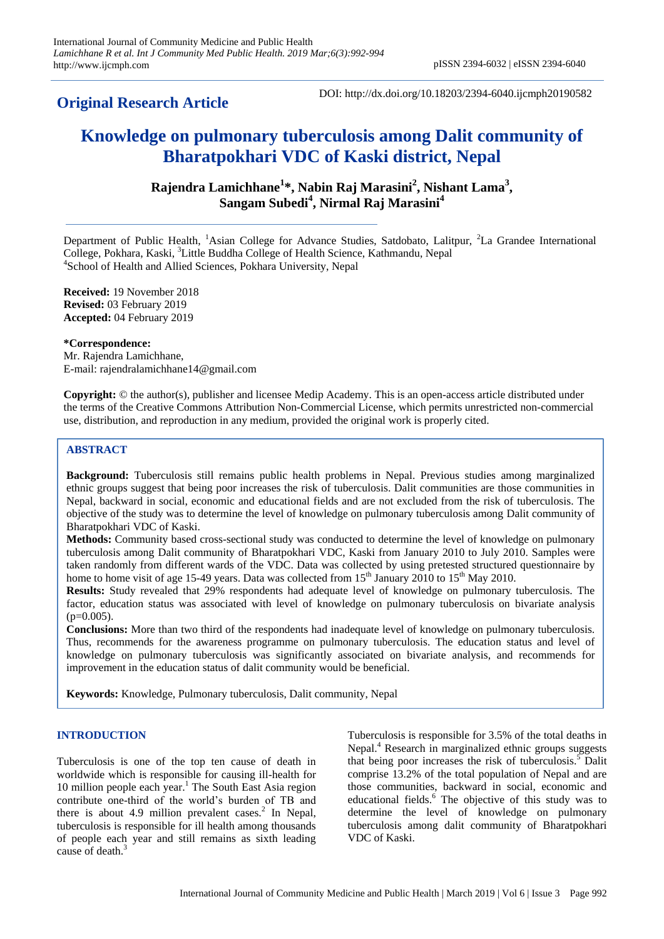# **Original Research Article**

DOI: http://dx.doi.org/10.18203/2394-6040.ijcmph20190582

# **Knowledge on pulmonary tuberculosis among Dalit community of Bharatpokhari VDC of Kaski district, Nepal**

**Rajendra Lamichhane<sup>1</sup> \*, Nabin Raj Marasini<sup>2</sup> , Nishant Lama<sup>3</sup> , Sangam Subedi<sup>4</sup> , Nirmal Raj Marasini<sup>4</sup>**

Department of Public Health, <sup>1</sup>Asian College for Advance Studies, Satdobato, Lalitpur, <sup>2</sup>La Grandee International College, Pokhara, Kaski, <sup>3</sup>Little Buddha College of Health Science, Kathmandu, Nepal 4 School of Health and Allied Sciences, Pokhara University, Nepal

**Received:** 19 November 2018 **Revised:** 03 February 2019 **Accepted:** 04 February 2019

**\*Correspondence:** Mr. Rajendra Lamichhane, E-mail: rajendralamichhane14@gmail.com

**Copyright:** © the author(s), publisher and licensee Medip Academy. This is an open-access article distributed under the terms of the Creative Commons Attribution Non-Commercial License, which permits unrestricted non-commercial use, distribution, and reproduction in any medium, provided the original work is properly cited.

# **ABSTRACT**

**Background:** Tuberculosis still remains public health problems in Nepal. Previous studies among marginalized ethnic groups suggest that being poor increases the risk of tuberculosis. Dalit communities are those communities in Nepal, backward in social, economic and educational fields and are not excluded from the risk of tuberculosis. The objective of the study was to determine the level of knowledge on pulmonary tuberculosis among Dalit community of Bharatpokhari VDC of Kaski.

**Methods:** Community based cross-sectional study was conducted to determine the level of knowledge on pulmonary tuberculosis among Dalit community of Bharatpokhari VDC, Kaski from January 2010 to July 2010. Samples were taken randomly from different wards of the VDC. Data was collected by using pretested structured questionnaire by home to home visit of age 15-49 years. Data was collected from  $15<sup>th</sup>$  January 2010 to  $15<sup>th</sup>$  May 2010.

**Results:** Study revealed that 29% respondents had adequate level of knowledge on pulmonary tuberculosis. The factor, education status was associated with level of knowledge on pulmonary tuberculosis on bivariate analysis  $(p=0.005)$ .

**Conclusions:** More than two third of the respondents had inadequate level of knowledge on pulmonary tuberculosis. Thus, recommends for the awareness programme on pulmonary tuberculosis. The education status and level of knowledge on pulmonary tuberculosis was significantly associated on bivariate analysis, and recommends for improvement in the education status of dalit community would be beneficial.

**Keywords:** Knowledge, Pulmonary tuberculosis, Dalit community, Nepal

# **INTRODUCTION**

Tuberculosis is one of the top ten cause of death in worldwide which is responsible for causing ill-health for 10 million people each year. <sup>1</sup> The South East Asia region contribute one-third of the world's burden of TB and there is about 4.9 million prevalent cases. $2$  In Nepal, tuberculosis is responsible for ill health among thousands of people each year and still remains as sixth leading cause of death.<sup>3</sup>

Tuberculosis is responsible for 3.5% of the total deaths in Nepal.<sup>4</sup> Research in marginalized ethnic groups suggests that being poor increases the risk of tuberculosis.<sup>5</sup> Dalit comprise 13.2% of the total population of Nepal and are those communities, backward in social, economic and educational fields. $6$  The objective of this study was to determine the level of knowledge on pulmonary tuberculosis among dalit community of Bharatpokhari VDC of Kaski.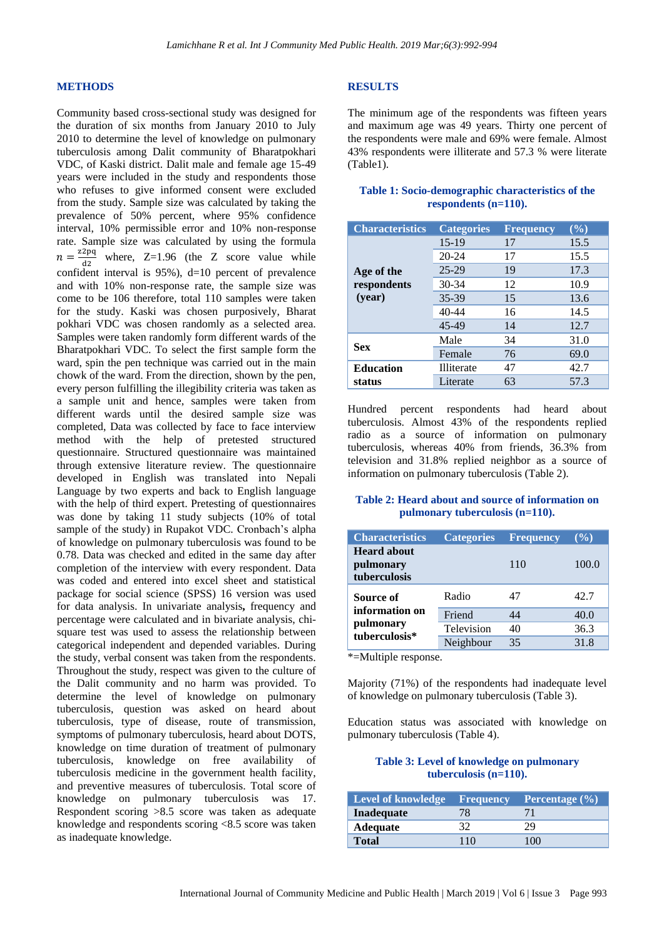#### **METHODS**

Community based cross-sectional study was designed for the duration of six months from January 2010 to July 2010 to determine the level of knowledge on pulmonary tuberculosis among Dalit community of Bharatpokhari VDC, of Kaski district. Dalit male and female age 15-49 years were included in the study and respondents those who refuses to give informed consent were excluded from the study. Sample size was calculated by taking the prevalence of 50% percent, where 95% confidence interval, 10% permissible error and 10% non-response rate. Sample size was calculated by using the formula  $n = \frac{z_2pq}{dq}$  where, Z=1.96 (the Z score value while confident interval is 95%), d=10 percent of prevalence and with 10% non-response rate, the sample size was come to be 106 therefore, total 110 samples were taken for the study. Kaski was chosen purposively, Bharat pokhari VDC was chosen randomly as a selected area. Samples were taken randomly form different wards of the Bharatpokhari VDC. To select the first sample form the ward, spin the pen technique was carried out in the main chowk of the ward. From the direction, shown by the pen, every person fulfilling the illegibility criteria was taken as a sample unit and hence, samples were taken from different wards until the desired sample size was completed, Data was collected by face to face interview method with the help of pretested structured questionnaire. Structured questionnaire was maintained through extensive literature review. The questionnaire developed in English was translated into Nepali Language by two experts and back to English language with the help of third expert. Pretesting of questionnaires was done by taking 11 study subjects (10% of total sample of the study) in Rupakot VDC. Cronbach's alpha of knowledge on pulmonary tuberculosis was found to be 0.78. Data was checked and edited in the same day after completion of the interview with every respondent. Data was coded and entered into excel sheet and statistical package for social science (SPSS) 16 version was used for data analysis. In univariate analysis**,** frequency and percentage were calculated and in bivariate analysis, chisquare test was used to assess the relationship between categorical independent and depended variables. During the study, verbal consent was taken from the respondents. Throughout the study, respect was given to the culture of the Dalit community and no harm was provided. To determine the level of knowledge on pulmonary tuberculosis, question was asked on heard about tuberculosis, type of disease, route of transmission, symptoms of pulmonary tuberculosis, heard about DOTS, knowledge on time duration of treatment of pulmonary tuberculosis, knowledge on free availability of tuberculosis medicine in the government health facility, and preventive measures of tuberculosis. Total score of knowledge on pulmonary tuberculosis was 17. Respondent scoring >8.5 score was taken as adequate knowledge and respondents scoring <8.5 score was taken as inadequate knowledge.

#### **RESULTS**

The minimum age of the respondents was fifteen years and maximum age was 49 years. Thirty one percent of the respondents were male and 69% were female. Almost 43% respondents were illiterate and 57.3 % were literate (Table1).

## **Table 1: Socio-demographic characteristics of the respondents (n=110).**

| <b>Characteristics</b>              | <b>Categories</b> | <b>Frequency</b> | $(\%)$ |
|-------------------------------------|-------------------|------------------|--------|
| Age of the<br>respondents<br>(year) | $15-19$           | 17               | 15.5   |
|                                     | $20 - 24$         | 17               | 15.5   |
|                                     | $25 - 29$         | 19               | 17.3   |
|                                     | $30 - 34$         | 12               | 10.9   |
|                                     | 35-39             | 15               | 13.6   |
|                                     | $40 - 44$         | 16               | 14.5   |
|                                     | 45-49             | 14               | 12.7   |
| <b>Sex</b>                          | Male              | 34               | 31.0   |
|                                     | Female            | 76               | 69.0   |
| <b>Education</b><br>status          | Illiterate        | 47               | 42.7   |
|                                     | Literate          | 63               | 57.3   |

Hundred percent respondents had heard about tuberculosis. Almost 43% of the respondents replied radio as a source of information on pulmonary tuberculosis, whereas 40% from friends, 36.3% from television and 31.8% replied neighbor as a source of information on pulmonary tuberculosis (Table 2).

#### **Table 2: Heard about and source of information on pulmonary tuberculosis (n=110).**

| <b>Characteristics</b>                                    | <b>Categories</b> | <b>Frequency</b> | $($ %) |
|-----------------------------------------------------------|-------------------|------------------|--------|
| <b>Heard about</b><br>pulmonary<br>tuberculosis           |                   | 110              | 100.0  |
| Source of<br>information on<br>pulmonary<br>tuberculosis* | Radio             | 47               | 42.7   |
|                                                           | Friend            | 44               | 40.0   |
|                                                           | Television        | 40               | 36.3   |
|                                                           | Neighbour         | 35               | 31.8   |

\*=Multiple response.

Majority (71%) of the respondents had inadequate level of knowledge on pulmonary tuberculosis (Table 3).

Education status was associated with knowledge on pulmonary tuberculosis (Table 4).

# **Table 3: Level of knowledge on pulmonary tuberculosis (n=110).**

| <b>Level of knowledge Frequency</b> |     | Percentage $(\% )$ |
|-------------------------------------|-----|--------------------|
| Inadequate                          |     |                    |
| <b>Adequate</b>                     |     |                    |
| Total                               | 110 | $\alpha$           |